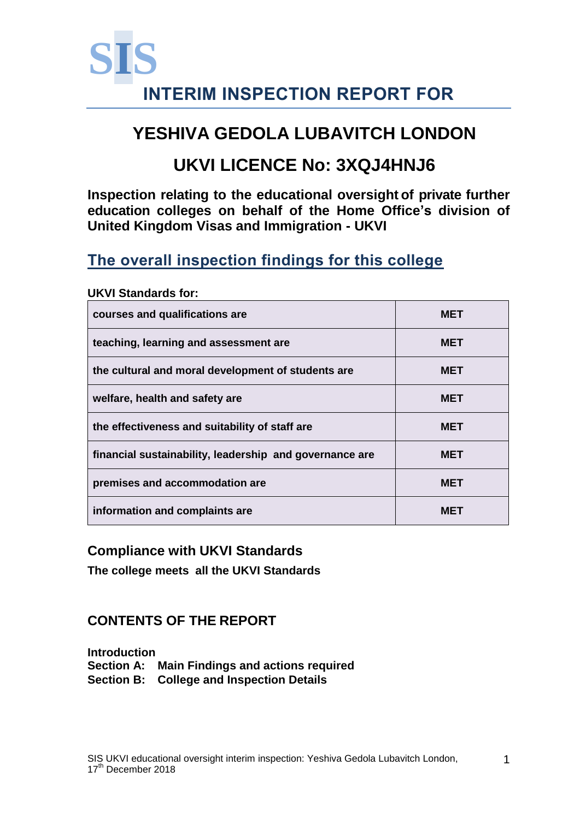

# **YESHIVA GEDOLA LUBAVITCH LONDON**

# **UKVI LICENCE No: 3XQJ4HNJ6**

**Inspection relating to the educational oversight of private further education colleges on behalf of the Home Office's division of United Kingdom Visas and Immigration - UKVI**

# **The overall inspection findings for this college**

# **courses and qualifications are <b>MET MET teaching, learning and assessment are MET the cultural and moral development of students are MET welfare, health and safety are MET** the effectiveness and suitability of staff are **MET financial sustainability, leadership and governance are MET premises and accommodation are MET information and complaints are <b>MET MET**

#### **UKVI Standards for:**

#### **Compliance with UKVI Standards**

**The college meets all the UKVI Standards**

## **CONTENTS OF THE REPORT**

**Introduction Section A: Main Findings and actions required Section B: College and Inspection Details**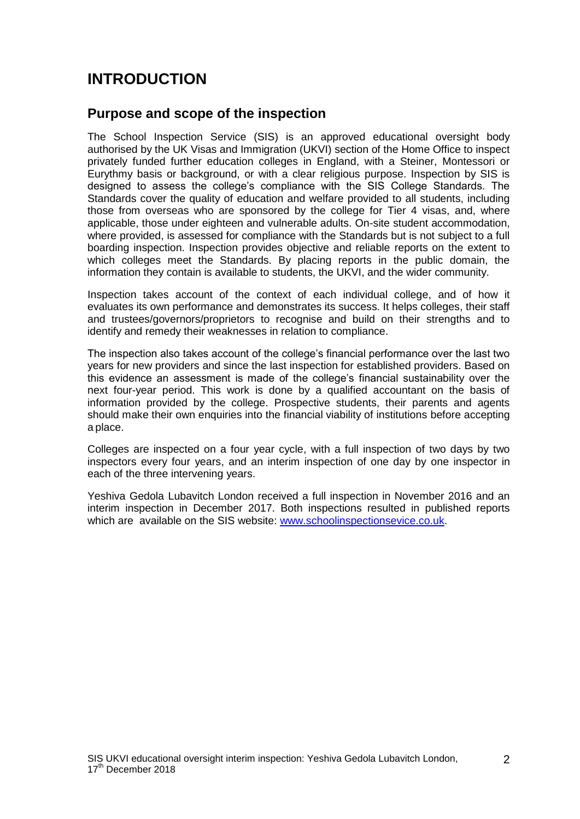## **INTRODUCTION**

#### **Purpose and scope of the inspection**

The School Inspection Service (SIS) is an approved educational oversight body authorised by the UK Visas and Immigration (UKVI) section of the Home Office to inspect privately funded further education colleges in England, with a Steiner, Montessori or Eurythmy basis or background, or with a clear religious purpose. Inspection by SIS is designed to assess the college's compliance with the SIS College Standards. The Standards cover the quality of education and welfare provided to all students, including those from overseas who are sponsored by the college for Tier 4 visas, and, where applicable, those under eighteen and vulnerable adults. On-site student accommodation, where provided, is assessed for compliance with the Standards but is not subject to a full boarding inspection. Inspection provides objective and reliable reports on the extent to which colleges meet the Standards. By placing reports in the public domain, the information they contain is available to students, the UKVI, and the wider community.

Inspection takes account of the context of each individual college, and of how it evaluates its own performance and demonstrates its success. It helps colleges, their staff and trustees/governors/proprietors to recognise and build on their strengths and to identify and remedy their weaknesses in relation to compliance.

The inspection also takes account of the college's financial performance over the last two years for new providers and since the last inspection for established providers. Based on this evidence an assessment is made of the college's financial sustainability over the next four-year period. This work is done by a qualified accountant on the basis of information provided by the college. Prospective students, their parents and agents should make their own enquiries into the financial viability of institutions before accepting a place.

Colleges are inspected on a four year cycle, with a full inspection of two days by two inspectors every four years, and an interim inspection of one day by one inspector in each of the three intervening years.

Yeshiva Gedola Lubavitch London received a full inspection in November 2016 and an interim inspection in December 2017. Both inspections resulted in published reports which are available on the SIS website: [www.schoolinspectionsevice.co.uk.](http://www.schoolinspectionsevice.co.uk/)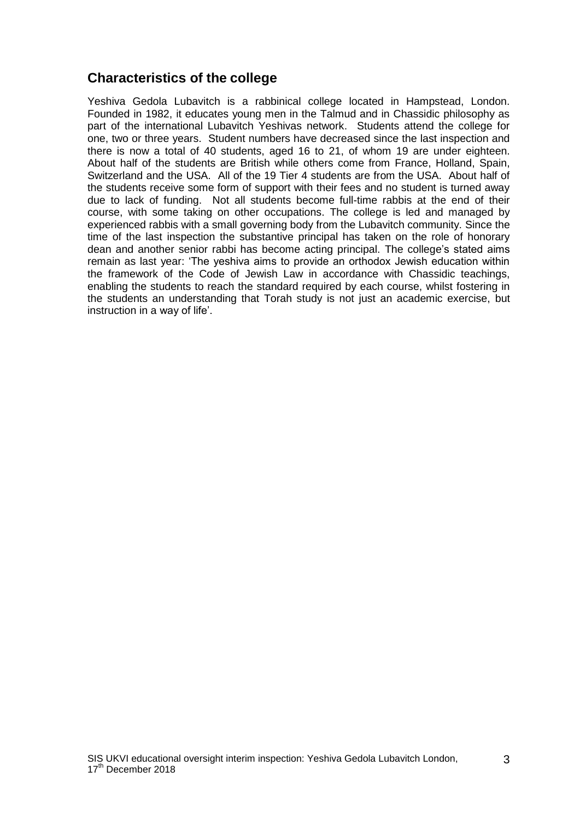## **Characteristics of the college**

Yeshiva Gedola Lubavitch is a rabbinical college located in Hampstead, London. Founded in 1982, it educates young men in the Talmud and in Chassidic philosophy as part of the international Lubavitch Yeshivas network. Students attend the college for one, two or three years. Student numbers have decreased since the last inspection and there is now a total of 40 students, aged 16 to 21, of whom 19 are under eighteen. About half of the students are British while others come from France, Holland, Spain, Switzerland and the USA. All of the 19 Tier 4 students are from the USA. About half of the students receive some form of support with their fees and no student is turned away due to lack of funding. Not all students become full-time rabbis at the end of their course, with some taking on other occupations. The college is led and managed by experienced rabbis with a small governing body from the Lubavitch community. Since the time of the last inspection the substantive principal has taken on the role of honorary dean and another senior rabbi has become acting principal. The college's stated aims remain as last year: 'The yeshiva aims to provide an orthodox Jewish education within the framework of the Code of Jewish Law in accordance with Chassidic teachings, enabling the students to reach the standard required by each course, whilst fostering in the students an understanding that Torah study is not just an academic exercise, but instruction in a way of life'.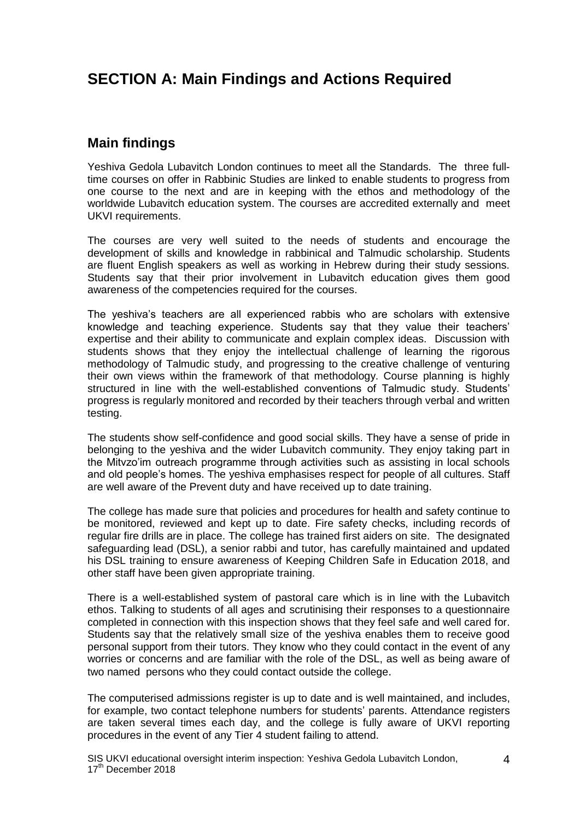## **SECTION A: Main Findings and Actions Required**

#### **Main findings**

Yeshiva Gedola Lubavitch London continues to meet all the Standards. The three fulltime courses on offer in Rabbinic Studies are linked to enable students to progress from one course to the next and are in keeping with the ethos and methodology of the worldwide Lubavitch education system. The courses are accredited externally and meet UKVI requirements.

The courses are very well suited to the needs of students and encourage the development of skills and knowledge in rabbinical and Talmudic scholarship. Students are fluent English speakers as well as working in Hebrew during their study sessions. Students say that their prior involvement in Lubavitch education gives them good awareness of the competencies required for the courses.

The yeshiva's teachers are all experienced rabbis who are scholars with extensive knowledge and teaching experience. Students say that they value their teachers' expertise and their ability to communicate and explain complex ideas. Discussion with students shows that they enjoy the intellectual challenge of learning the rigorous methodology of Talmudic study, and progressing to the creative challenge of venturing their own views within the framework of that methodology. Course planning is highly structured in line with the well-established conventions of Talmudic study. Students' progress is regularly monitored and recorded by their teachers through verbal and written testing.

The students show self-confidence and good social skills. They have a sense of pride in belonging to the yeshiva and the wider Lubavitch community. They enjoy taking part in the Mitvzo'im outreach programme through activities such as assisting in local schools and old people's homes. The yeshiva emphasises respect for people of all cultures. Staff are well aware of the Prevent duty and have received up to date training.

The college has made sure that policies and procedures for health and safety continue to be monitored, reviewed and kept up to date. Fire safety checks, including records of regular fire drills are in place. The college has trained first aiders on site. The designated safeguarding lead (DSL), a senior rabbi and tutor, has carefully maintained and updated his DSL training to ensure awareness of Keeping Children Safe in Education 2018, and other staff have been given appropriate training.

There is a well-established system of pastoral care which is in line with the Lubavitch ethos. Talking to students of all ages and scrutinising their responses to a questionnaire completed in connection with this inspection shows that they feel safe and well cared for. Students say that the relatively small size of the yeshiva enables them to receive good personal support from their tutors. They know who they could contact in the event of any worries or concerns and are familiar with the role of the DSL, as well as being aware of two named persons who they could contact outside the college.

The computerised admissions register is up to date and is well maintained, and includes, for example, two contact telephone numbers for students' parents. Attendance registers are taken several times each day, and the college is fully aware of UKVI reporting procedures in the event of any Tier 4 student failing to attend.

SIS UKVI educational oversight interim inspection: Yeshiva Gedola Lubavitch London, 17<sup>th</sup> December 2018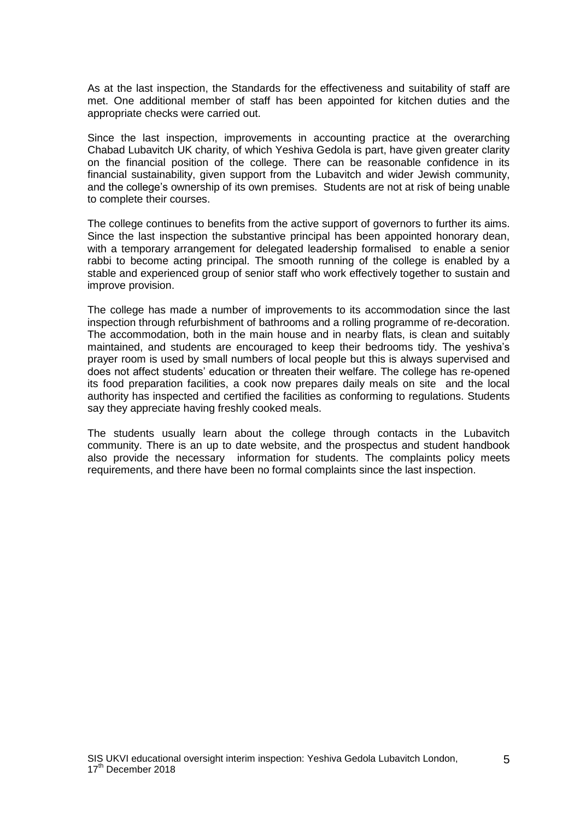As at the last inspection, the Standards for the effectiveness and suitability of staff are met. One additional member of staff has been appointed for kitchen duties and the appropriate checks were carried out.

Since the last inspection, improvements in accounting practice at the overarching Chabad Lubavitch UK charity, of which Yeshiva Gedola is part, have given greater clarity on the financial position of the college. There can be reasonable confidence in its financial sustainability, given support from the Lubavitch and wider Jewish community, and the college's ownership of its own premises. Students are not at risk of being unable to complete their courses.

The college continues to benefits from the active support of governors to further its aims. Since the last inspection the substantive principal has been appointed honorary dean, with a temporary arrangement for delegated leadership formalised to enable a senior rabbi to become acting principal. The smooth running of the college is enabled by a stable and experienced group of senior staff who work effectively together to sustain and improve provision.

The college has made a number of improvements to its accommodation since the last inspection through refurbishment of bathrooms and a rolling programme of re-decoration. The accommodation, both in the main house and in nearby flats, is clean and suitably maintained, and students are encouraged to keep their bedrooms tidy. The yeshiva's prayer room is used by small numbers of local people but this is always supervised and does not affect students' education or threaten their welfare. The college has re-opened its food preparation facilities, a cook now prepares daily meals on site and the local authority has inspected and certified the facilities as conforming to regulations. Students say they appreciate having freshly cooked meals.

The students usually learn about the college through contacts in the Lubavitch community. There is an up to date website, and the prospectus and student handbook also provide the necessary information for students. The complaints policy meets requirements, and there have been no formal complaints since the last inspection.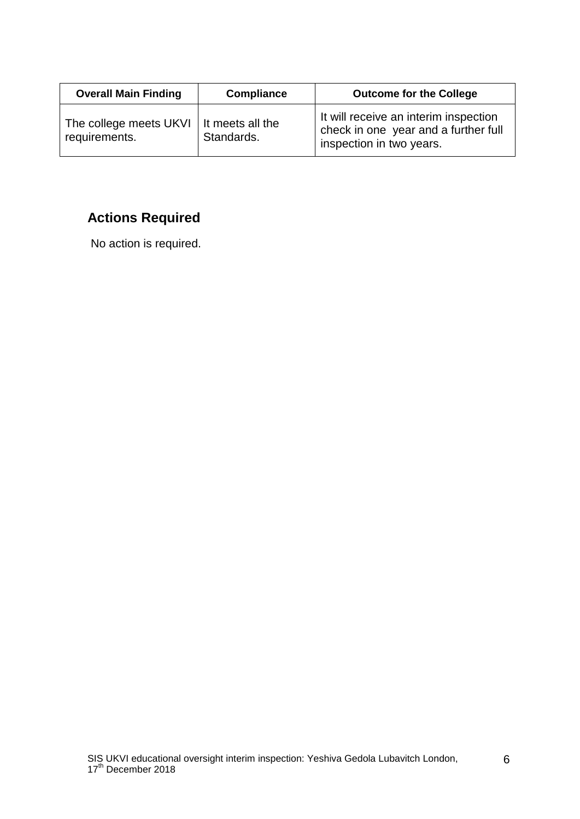| <b>Overall Main Finding</b>             | <b>Compliance</b>              | <b>Outcome for the College</b>                                                                            |
|-----------------------------------------|--------------------------------|-----------------------------------------------------------------------------------------------------------|
| The college meets UKVI<br>requirements. | It meets all the<br>Standards. | It will receive an interim inspection<br>check in one year and a further full<br>inspection in two years. |

## **Actions Required**

No action is required.